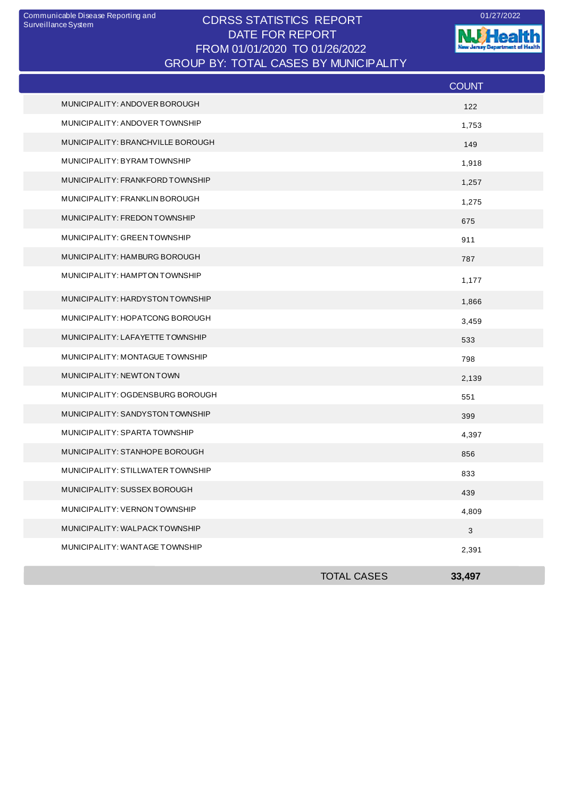## CDRSS STATISTICS REPORT Communicable Disease Reporting and 01/27/2022 DATE FOR REPORT FROM 01/01/2020 TO 01/26/2022 GROUP BY: TOTAL CASES BY MUNICIPALITY

**W**Health nt of Health **The State** Æ. --

|                                   |                    | <b>COUNT</b> |
|-----------------------------------|--------------------|--------------|
| MUNICIPALITY: ANDOVER BOROUGH     |                    | 122          |
| MUNICIPALITY: ANDOVER TOWNSHIP    |                    | 1,753        |
| MUNICIPALITY: BRANCHVILLE BOROUGH |                    | 149          |
| MUNICIPALITY: BYRAM TOWNSHIP      |                    | 1,918        |
| MUNICIPALITY: FRANKFORD TOWNSHIP  |                    | 1,257        |
| MUNICIPALITY: FRANKLIN BOROUGH    |                    | 1,275        |
| MUNICIPALITY: FREDON TOWNSHIP     |                    | 675          |
| MUNICIPALITY: GREEN TOWNSHIP      |                    | 911          |
| MUNICIPALITY: HAMBURG BOROUGH     |                    | 787          |
| MUNICIPALITY: HAMPTON TOWNSHIP    |                    | 1,177        |
| MUNICIPALITY: HARDYSTON TOWNSHIP  |                    | 1,866        |
| MUNICIPALITY: HOPATCONG BOROUGH   |                    | 3,459        |
| MUNICIPALITY: LAFAYETTE TOWNSHIP  |                    | 533          |
| MUNICIPALITY: MONTAGUE TOWNSHIP   |                    | 798          |
| MUNICIPALITY: NEWTON TOWN         |                    | 2,139        |
| MUNICIPALITY: OGDENSBURG BOROUGH  |                    | 551          |
| MUNICIPALITY: SANDYSTON TOWNSHIP  |                    | 399          |
| MUNICIPALITY: SPARTA TOWNSHIP     |                    | 4,397        |
| MUNICIPALITY: STANHOPE BOROUGH    |                    | 856          |
| MUNICIPALITY: STILLWATER TOWNSHIP |                    | 833          |
| MUNICIPALITY: SUSSEX BOROUGH      |                    | 439          |
| MUNICIPALITY: VERNON TOWNSHIP     |                    | 4,809        |
| MUNICIPALITY: WALPACKTOWNSHIP     |                    | 3            |
| MUNICIPALITY: WANTAGE TOWNSHIP    |                    | 2,391        |
|                                   | <b>TOTAL CASES</b> | 33,497       |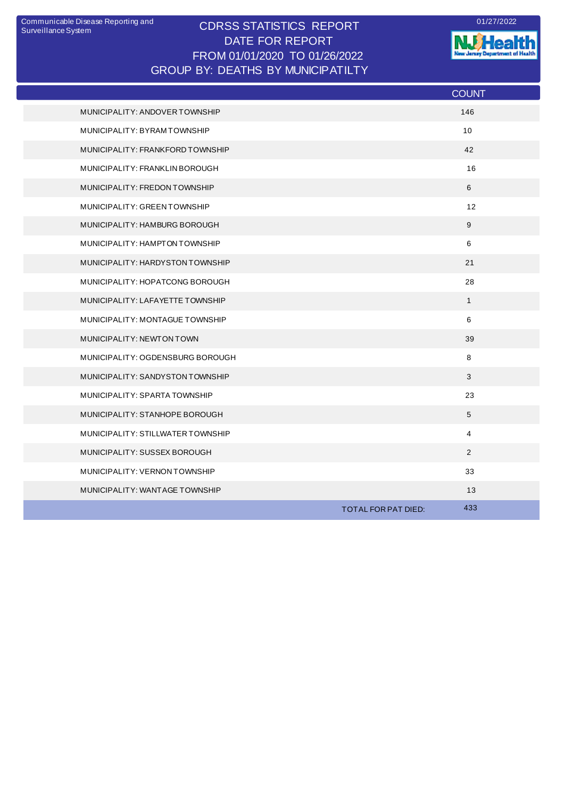## CDRSS STATISTICS REPORT Communicable Disease Reporting and 01/27/2022 DATE FOR REPORT FROM 01/01/2020 TO 01/26/2022 GROUP BY: DEATHS BY MUNICIPATILTY

**W.Health** 

|                                   |                     | <b>COUNT</b>   |
|-----------------------------------|---------------------|----------------|
| MUNICIPALITY: ANDOVER TOWNSHIP    |                     | 146            |
| MUNICIPALITY: BYRAM TOWNSHIP      |                     | 10             |
| MUNICIPALITY: FRANKFORD TOWNSHIP  |                     | 42             |
| MUNICIPALITY: FRANKLIN BOROUGH    |                     | 16             |
| MUNICIPALITY: FREDON TOWNSHIP     |                     | 6              |
| MUNICIPALITY: GREEN TOWNSHIP      |                     | 12             |
| MUNICIPALITY: HAMBURG BOROUGH     |                     | 9              |
| MUNICIPALITY: HAMPTON TOWNSHIP    |                     | 6              |
| MUNICIPALITY: HARDYSTON TOWNSHIP  |                     | 21             |
| MUNICIPALITY: HOPATCONG BOROUGH   |                     | 28             |
| MUNICIPALITY: LAFAYETTE TOWNSHIP  |                     | $\mathbf{1}$   |
| MUNICIPALITY: MONTAGUE TOWNSHIP   |                     | 6              |
| MUNICIPALITY: NEWTON TOWN         |                     | 39             |
| MUNICIPALITY: OGDENSBURG BOROUGH  |                     | 8              |
| MUNICIPALITY: SANDYSTON TOWNSHIP  |                     | 3              |
| MUNICIPALITY: SPARTA TOWNSHIP     |                     | 23             |
| MUNICIPALITY: STANHOPE BOROUGH    |                     | 5              |
| MUNICIPALITY: STILLWATER TOWNSHIP |                     | $\overline{4}$ |
| MUNICIPALITY: SUSSEX BOROUGH      |                     | 2              |
| MUNICIPALITY: VERNON TOWNSHIP     |                     | 33             |
| MUNICIPALITY: WANTAGE TOWNSHIP    |                     | 13             |
|                                   | TOTAL FOR PAT DIED: | 433            |
|                                   |                     |                |